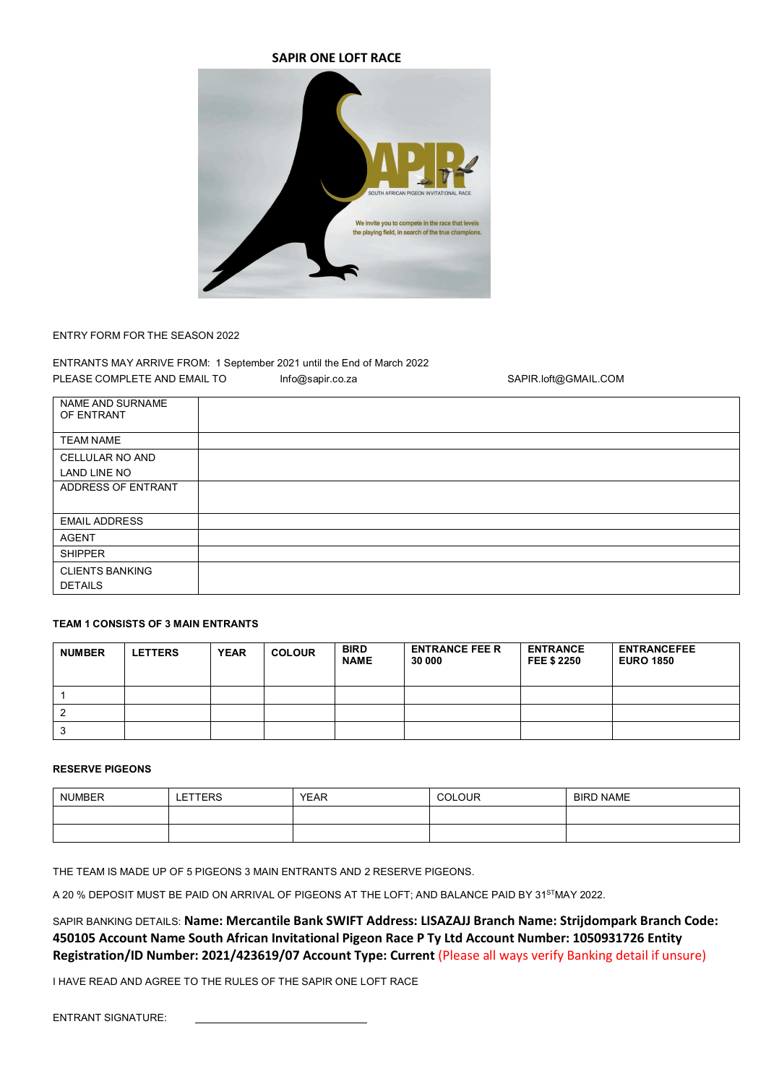



## ENTRY FORM FOR THE SEASON 2022

ENTRANTS MAY ARRIVE FROM: 1 September 2021 until the End of March 2022 PLEASE COMPLETE AND EMAIL TO **Info@sapir.co.za** SAPIR.loft@GMAIL.COM

| NAME AND SURNAME<br>OF ENTRANT |  |
|--------------------------------|--|
| <b>TEAM NAME</b>               |  |
| CELLULAR NO AND                |  |
| LAND LINE NO                   |  |
| ADDRESS OF ENTRANT             |  |
|                                |  |
| <b>EMAIL ADDRESS</b>           |  |
| <b>AGENT</b>                   |  |
| <b>SHIPPER</b>                 |  |
| <b>CLIENTS BANKING</b>         |  |
| <b>DETAILS</b>                 |  |

# **TEAM 1 CONSISTS OF 3 MAIN ENTRANTS**

| <b>NUMBER</b> | <b>LETTERS</b> | <b>YEAR</b> | <b>COLOUR</b> | <b>BIRD</b><br><b>NAME</b> | <b>ENTRANCE FEE R</b><br>30 000 | <b>ENTRANCE</b><br><b>FEE \$ 2250</b> | <b>ENTRANCEFEE</b><br><b>EURO 1850</b> |
|---------------|----------------|-------------|---------------|----------------------------|---------------------------------|---------------------------------------|----------------------------------------|
|               |                |             |               |                            |                                 |                                       |                                        |
|               |                |             |               |                            |                                 |                                       |                                        |
| ٠J            |                |             |               |                            |                                 |                                       |                                        |

# **RESERVE PIGEONS**

| <b>NUMBER</b> | LETTERS | <b>YEAR</b> | <b>COLOUR</b> | <b>BIRD NAME</b> |
|---------------|---------|-------------|---------------|------------------|
|               |         |             |               |                  |
|               |         |             |               |                  |

THE TEAM IS MADE UP OF 5 PIGEONS 3 MAIN ENTRANTS AND 2 RESERVE PIGEONS.

A 20 % DEPOSIT MUST BE PAID ON ARRIVAL OF PIGEONS AT THE LOFT; AND BALANCE PAID BY 31<sup>ST</sup>MAY 2022.

SAPIR BANKING DETAILS: **Name: Mercantile Bank SWIFT Address: LISAZAJJ Branch Name: Strijdompark Branch Code: 450105 Account Name South African Invitational Pigeon Race P Ty Ltd Account Number: 1050931726 Entity Registration/ID Number: 2021/423619/07 Account Type: Current** (Please all ways verify Banking detail if unsure)

I HAVE READ AND AGREE TO THE RULES OF THE SAPIR ONE LOFT RACE

ENTRANT SIGNATURE: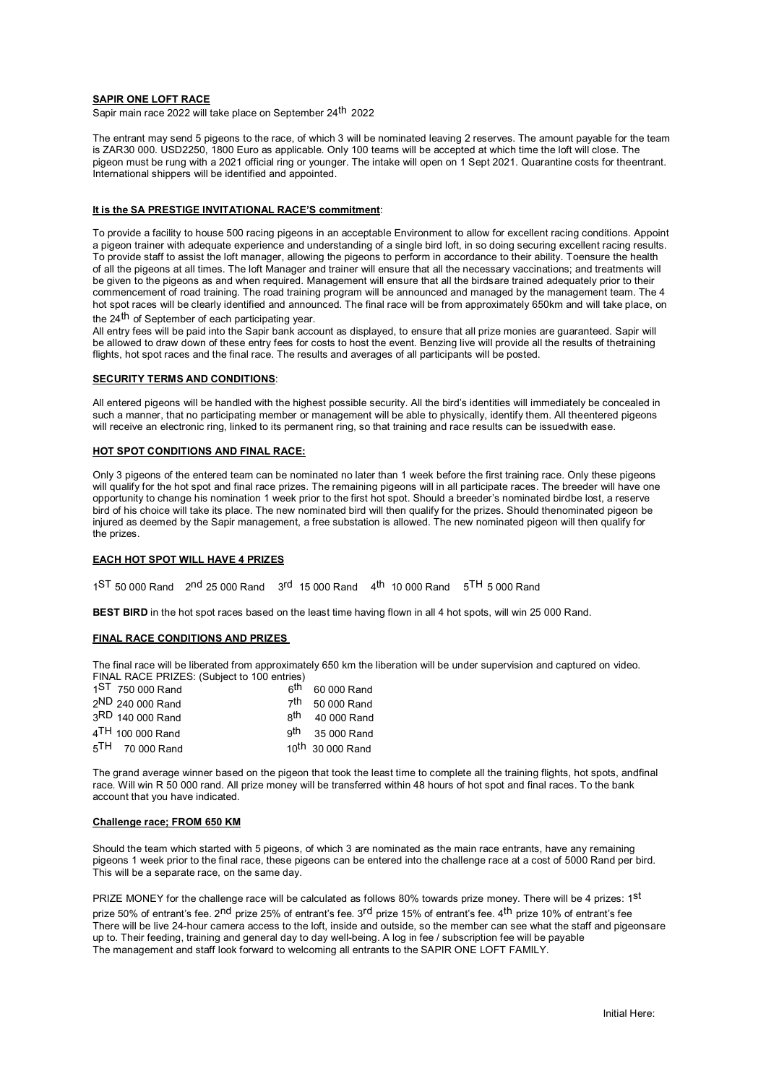### **SAPIR ONE LOFT RACE**

Sapir main race 2022 will take place on September 24<sup>th</sup> 2022

The entrant may send 5 pigeons to the race, of which 3 will be nominated leaving 2 reserves. The amount payable for the team is ZAR30 000. USD2250, 1800 Euro as applicable. Only 100 teams will be accepted at which time the loft will close. The pigeon must be rung with a 2021 official ring or younger. The intake will open on 1 Sept 2021. Quarantine costs for the entrant. International shippers will be identified and appointed.

## **It is the SA PRESTIGE INVITATIONAL RACE'S commitment**:

To provide a facility to house 500 racing pigeons in an acceptable Environment to allow for excellent racing conditions. Appoint a pigeon trainer with adequate experience and understanding of a single bird loft, in so doing securing excellent racing results. To provide staff to assist the loft manager, allowing the pigeons to perform in accordance to their ability. Toensure the health of all the pigeons at all times. The loft Manager and trainer will ensure that all the necessary vaccinations; and treatments will be given to the pigeons as and when required. Management will ensure that all the birds are trained adequately prior to their commencement of road training. The road training program will be announced and managed by the management team. The 4 hot spot races will be clearly identified and announced. The final race will be from approximately 650km and will take place, on the 24<sup>th</sup> of September of each participating year.

All entry fees will be paid into the Sapir bank account as displayed, to ensure that all prize monies are guaranteed. Sapir will be allowed to draw down of these entry fees for costs to host the event. Benzing live will provide all the results of thetraining flights, hot spot races and the final race. The results and averages of all participants will be posted.

## **SECURITY TERMS AND CONDITIONS**:

All entered pigeons will be handled with the highest possible security. All the bird's identities will immediately be concealed in such a manner, that no participating member or management will be able to physically, identify them. All the entered pigeons will receive an electronic ring, linked to its permanent ring, so that training and race results can be issued with ease.

#### **HOT SPOT CONDITIONS AND FINAL RACE:**

Only 3 pigeons of the entered team can be nominated no later than 1 week before the first training race. Only these pigeons will qualify for the hot spot and final race prizes. The remaining pigeons will in all participate races. The breeder will have one opportunity to change his nomination 1 week prior to the first hot spot. Should a breeder's nominated birdbe lost, a reserve bird of his choice will take its place. The new nominated bird will then qualify for the prizes. Should thenominated pigeon be injured as deemed by the Sapir management, a free substation is allowed. The new nominated pigeon will then qualify for the prizes.

## **EACH HOT SPOT WILL HAVE 4 PRIZES**

 $1^{ST}$  50 000 Rand  $2^{nd}$  25 000 Rand  $3^{rd}$  15 000 Rand  $4^{th}$  10 000 Rand  $5^{TH}$  5 000 Rand

**BEST BIRD** in the hot spot races based on the least time having flown in all 4 hot spots, will win 25 000 Rand.

#### **FINAL RACE CONDITIONS AND PRIZES**

The final race will be liberated from approximately 650 km the liberation will be under supervision and captured on video. FINAL RACE PRIZES: (Subject to 100 entries)

| 1 <sup>ST</sup> 750 000 Rand |     | $6th$ 60 000 Rand            |
|------------------------------|-----|------------------------------|
| 2 <sup>ND</sup> 240 000 Rand |     | 7 <sup>th</sup> 50 000 Rand  |
| 3RD 140 000 Rand             | gth | 40 000 Rand                  |
| 4TH 100 000 Rand             |     | $9th$ 35 000 Rand            |
| 5 <sup>TH</sup> 70 000 Rand  |     | 10 <sup>th</sup> 30 000 Rand |

The grand average winner based on the pigeon that took the least time to complete all the training flights, hot spots, and final race. Will win R 50 000 rand. All prize money will be transferred within 48 hours of hot spot and final races. To the bank account that you have indicated.

#### **Challenge race; FROM 650 KM**

Should the team which started with 5 pigeons, of which 3 are nominated as the main race entrants, have any remaining pigeons 1 week prior to the final race, these pigeons can be entered into the challenge race at a cost of 5000 Rand per bird. This will be a separate race, on the same day.

PRIZE MONEY for the challenge race will be calculated as follows 80% towards prize money. There will be 4 prizes: 1st prize 50% of entrant's fee. 2<sup>nd</sup> prize 25% of entrant's fee. 3<sup>rd</sup> prize 15% of entrant's fee. 4<sup>th</sup> prize 10% of entrant's fee There will be live 24-hour camera access to the loft, inside and outside, so the member can see what the staff and pigeons are up to. Their feeding, training and general day to day well-being. A log in fee / subscription fee will be payable The management and staff look forward to welcoming all entrants to the SAPIR ONE LOFT FAMILY.